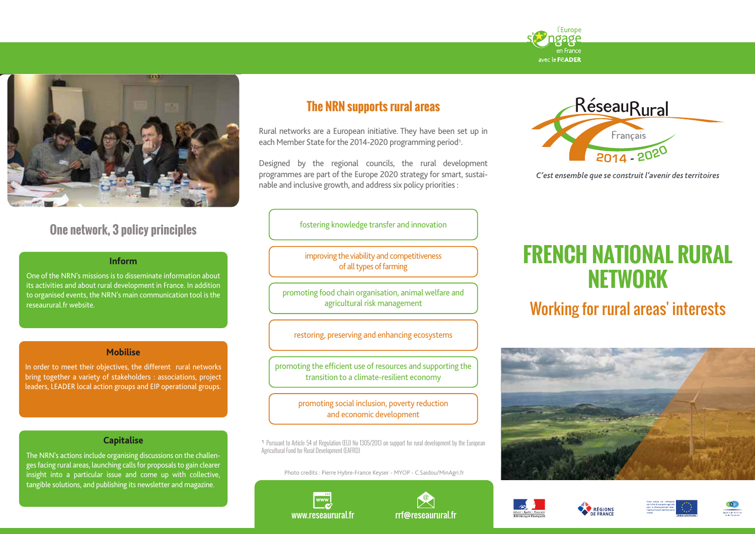



# **One network, 3 policy principles**

### **Inform**

One of the NRN's missions is to disseminate information about its activities and about rural development in France. In addition to organised events, the NRN's main communication tool is the reseaurural.fr website.

#### **Mobilise**

In order to meet their objectives, the different rural networks bring together a variety of stakeholders : associations, project leaders, LEADER local action groups and EIP operational groups.

#### **Capitalise**

The NRN's actions include organising discussions on the challenges facing rural areas, launching calls for proposals to gain clearer insight into a particular issue and come up with collective, tangible solutions, and publishing its newsletter and magazine.

# **The NRN supports rural areas**

Rural networks are a European initiative. They have been set up in each Member State for the 2014-2020 programming period<sup>1</sup>.

Designed by the regional councils, the rural development programmes are part of the Europe 2020 strategy for smart, sustainable and inclusive growth, and address six policy priorities :



C'est ensemble que se construit l'avenir des territoires

fostering knowledge transfer and innovation

improving the viability and competitiveness of all types of farming

promoting food chain organisation, animal welfare and agricultural risk management

restoring, preserving and enhancing ecosystems

promoting the efficient use of resources and supporting the transition to a climate-resilient economy

> promoting social inclusion, poverty reduction and economic development

1 Pursuant to Article 54 of Regulation (EU) No 1305/2013 on support for rural development by the European Agricultural Fund for Rural Development (EAFRD)

Photo credits : Pierre Hybre-France Keyser - MYOP - C.Saidou/MinAgri.fr





**FRENCH NATIONAL RURAL NETWORK**

Working for rural areas' interests



**RÉGIONS**